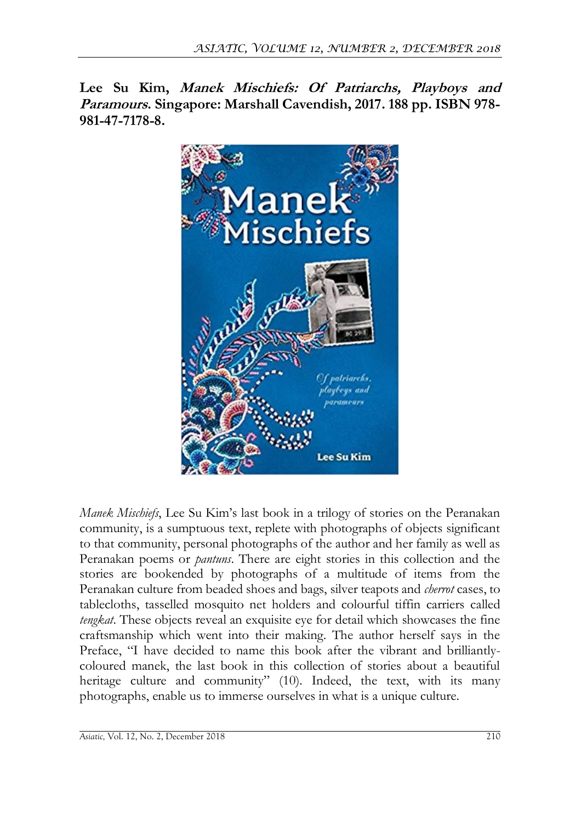**Lee Su Kim, Manek Mischiefs: Of Patriarchs, Playboys and Paramours. Singapore: Marshall Cavendish, 2017. 188 pp. ISBN 978- 981-47-7178-8.**



*Manek Mischiefs*, Lee Su Kim's last book in a trilogy of stories on the Peranakan community, is a sumptuous text, replete with photographs of objects significant to that community, personal photographs of the author and her family as well as Peranakan poems or *pantuns*. There are eight stories in this collection and the stories are bookended by photographs of a multitude of items from the Peranakan culture from beaded shoes and bags, silver teapots and *cherrot* cases, to tablecloths, tasselled mosquito net holders and colourful tiffin carriers called *tengkat*. These objects reveal an exquisite eye for detail which showcases the fine craftsmanship which went into their making. The author herself says in the Preface, "I have decided to name this book after the vibrant and brilliantlycoloured manek, the last book in this collection of stories about a beautiful heritage culture and community" (10). Indeed, the text, with its many photographs, enable us to immerse ourselves in what is a unique culture.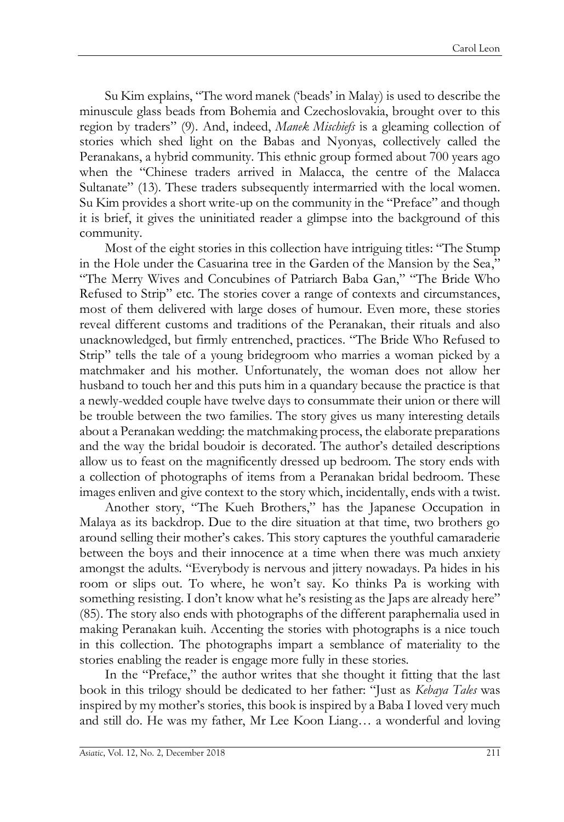Su Kim explains, "The word manek ('beads' in Malay) is used to describe the minuscule glass beads from Bohemia and Czechoslovakia, brought over to this region by traders" (9). And, indeed, *Manek Mischiefs* is a gleaming collection of stories which shed light on the Babas and Nyonyas, collectively called the Peranakans, a hybrid community. This ethnic group formed about 700 years ago when the "Chinese traders arrived in Malacca, the centre of the Malacca Sultanate" (13). These traders subsequently intermarried with the local women. Su Kim provides a short write-up on the community in the "Preface" and though it is brief, it gives the uninitiated reader a glimpse into the background of this community.

Most of the eight stories in this collection have intriguing titles: "The Stump in the Hole under the Casuarina tree in the Garden of the Mansion by the Sea," "The Merry Wives and Concubines of Patriarch Baba Gan," "The Bride Who Refused to Strip" etc. The stories cover a range of contexts and circumstances, most of them delivered with large doses of humour. Even more, these stories reveal different customs and traditions of the Peranakan, their rituals and also unacknowledged, but firmly entrenched, practices. "The Bride Who Refused to Strip" tells the tale of a young bridegroom who marries a woman picked by a matchmaker and his mother. Unfortunately, the woman does not allow her husband to touch her and this puts him in a quandary because the practice is that a newly-wedded couple have twelve days to consummate their union or there will be trouble between the two families. The story gives us many interesting details about a Peranakan wedding: the matchmaking process, the elaborate preparations and the way the bridal boudoir is decorated. The author's detailed descriptions allow us to feast on the magnificently dressed up bedroom. The story ends with a collection of photographs of items from a Peranakan bridal bedroom. These images enliven and give context to the story which, incidentally, ends with a twist.

Another story, "The Kueh Brothers," has the Japanese Occupation in Malaya as its backdrop. Due to the dire situation at that time, two brothers go around selling their mother's cakes. This story captures the youthful camaraderie between the boys and their innocence at a time when there was much anxiety amongst the adults. "Everybody is nervous and jittery nowadays. Pa hides in his room or slips out. To where, he won't say. Ko thinks Pa is working with something resisting. I don't know what he's resisting as the Japs are already here" (85). The story also ends with photographs of the different paraphernalia used in making Peranakan kuih. Accenting the stories with photographs is a nice touch in this collection. The photographs impart a semblance of materiality to the stories enabling the reader is engage more fully in these stories.

In the "Preface," the author writes that she thought it fitting that the last book in this trilogy should be dedicated to her father: "Just as *Kebaya Tales* was inspired by my mother's stories, this book is inspired by a Baba I loved very much and still do. He was my father, Mr Lee Koon Liang… a wonderful and loving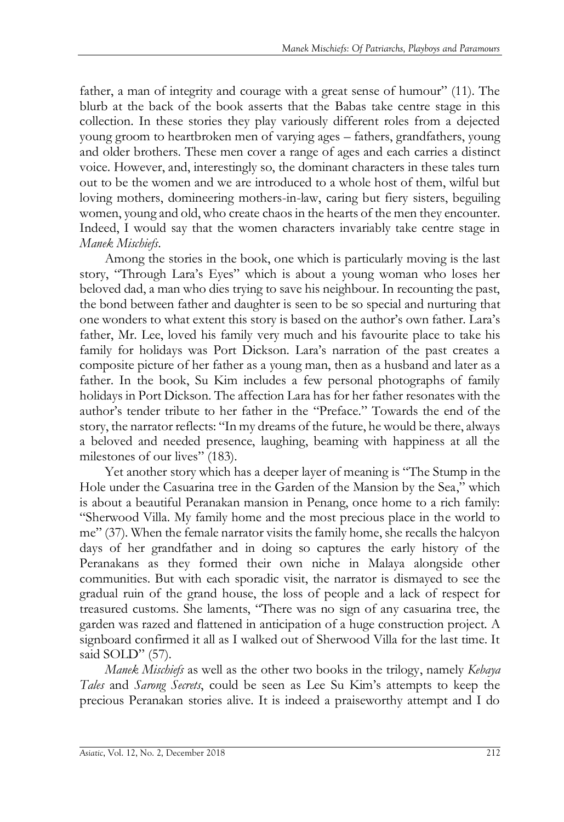father, a man of integrity and courage with a great sense of humour" (11). The blurb at the back of the book asserts that the Babas take centre stage in this collection. In these stories they play variously different roles from a dejected young groom to heartbroken men of varying ages – fathers, grandfathers, young and older brothers. These men cover a range of ages and each carries a distinct voice. However, and, interestingly so, the dominant characters in these tales turn out to be the women and we are introduced to a whole host of them, wilful but loving mothers, domineering mothers-in-law, caring but fiery sisters, beguiling women, young and old, who create chaos in the hearts of the men they encounter. Indeed, I would say that the women characters invariably take centre stage in *Manek Mischiefs*.

Among the stories in the book, one which is particularly moving is the last story, "Through Lara's Eyes" which is about a young woman who loses her beloved dad, a man who dies trying to save his neighbour. In recounting the past, the bond between father and daughter is seen to be so special and nurturing that one wonders to what extent this story is based on the author's own father. Lara's father, Mr. Lee, loved his family very much and his favourite place to take his family for holidays was Port Dickson. Lara's narration of the past creates a composite picture of her father as a young man, then as a husband and later as a father. In the book, Su Kim includes a few personal photographs of family holidays in Port Dickson. The affection Lara has for her father resonates with the author's tender tribute to her father in the "Preface." Towards the end of the story, the narrator reflects: "In my dreams of the future, he would be there, always a beloved and needed presence, laughing, beaming with happiness at all the milestones of our lives" (183).

Yet another story which has a deeper layer of meaning is "The Stump in the Hole under the Casuarina tree in the Garden of the Mansion by the Sea," which is about a beautiful Peranakan mansion in Penang, once home to a rich family: "Sherwood Villa. My family home and the most precious place in the world to me" (37). When the female narrator visits the family home, she recalls the halcyon days of her grandfather and in doing so captures the early history of the Peranakans as they formed their own niche in Malaya alongside other communities. But with each sporadic visit, the narrator is dismayed to see the gradual ruin of the grand house, the loss of people and a lack of respect for treasured customs. She laments, "There was no sign of any casuarina tree, the garden was razed and flattened in anticipation of a huge construction project. A signboard confirmed it all as I walked out of Sherwood Villa for the last time. It said SOLD" (57).

*Manek Mischiefs* as well as the other two books in the trilogy, namely *Kebaya Tales* and *Sarong Secrets*, could be seen as Lee Su Kim's attempts to keep the precious Peranakan stories alive. It is indeed a praiseworthy attempt and I do